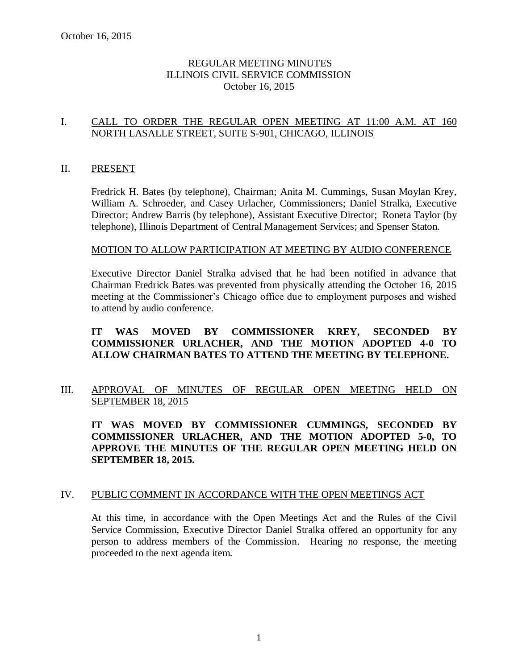# REGULAR MEETING MINUTES ILLINOIS CIVIL SERVICE COMMISSION October 16, 2015

# I. CALL TO ORDER THE REGULAR OPEN MEETING AT 11:00 A.M. AT 160 NORTH LASALLE STREET, SUITE S-901, CHICAGO, ILLINOIS

#### II. PRESENT

Fredrick H. Bates (by telephone), Chairman; Anita M. Cummings, Susan Moylan Krey, William A. Schroeder, and Casey Urlacher, Commissioners; Daniel Stralka, Executive Director; Andrew Barris (by telephone), Assistant Executive Director; Roneta Taylor (by telephone), Illinois Department of Central Management Services; and Spenser Staton.

#### MOTION TO ALLOW PARTICIPATION AT MEETING BY AUDIO CONFERENCE

Executive Director Daniel Stralka advised that he had been notified in advance that Chairman Fredrick Bates was prevented from physically attending the October 16, 2015 meeting at the Commissioner's Chicago office due to employment purposes and wished to attend by audio conference.

# **IT WAS MOVED BY COMMISSIONER KREY, SECONDED BY COMMISSIONER URLACHER, AND THE MOTION ADOPTED 4-0 TO ALLOW CHAIRMAN BATES TO ATTEND THE MEETING BY TELEPHONE.**

III. APPROVAL OF MINUTES OF REGULAR OPEN MEETING HELD ON SEPTEMBER 18, 2015

**IT WAS MOVED BY COMMISSIONER CUMMINGS, SECONDED BY COMMISSIONER URLACHER, AND THE MOTION ADOPTED 5-0, TO APPROVE THE MINUTES OF THE REGULAR OPEN MEETING HELD ON SEPTEMBER 18, 2015.** 

### IV. PUBLIC COMMENT IN ACCORDANCE WITH THE OPEN MEETINGS ACT

At this time, in accordance with the Open Meetings Act and the Rules of the Civil Service Commission, Executive Director Daniel Stralka offered an opportunity for any person to address members of the Commission. Hearing no response, the meeting proceeded to the next agenda item.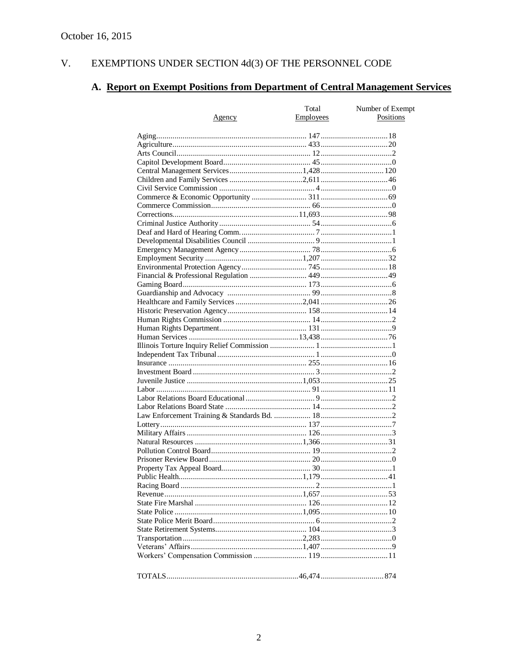#### V. EXEMPTIONS UNDER SECTION  $4d(3)$  OF THE PERSONNEL CODE

# A. Report on Exempt Positions from Department of Central Management Services

|               | Total            | Number of Exempt |
|---------------|------------------|------------------|
| <u>Agency</u> | <b>Employees</b> | Positions        |
|               |                  |                  |
|               |                  |                  |
|               |                  |                  |
|               |                  |                  |
|               |                  |                  |
|               |                  |                  |
|               |                  |                  |
|               |                  |                  |
|               |                  |                  |
|               |                  |                  |
|               |                  |                  |
|               |                  |                  |
|               |                  |                  |
|               |                  |                  |
|               |                  |                  |
|               |                  |                  |
|               |                  |                  |
|               |                  |                  |
|               |                  |                  |
|               |                  |                  |
|               |                  |                  |
|               |                  |                  |
|               |                  |                  |
|               |                  |                  |
|               |                  |                  |
|               |                  |                  |
|               |                  |                  |
|               |                  |                  |
|               |                  |                  |
|               |                  |                  |
|               |                  |                  |
|               |                  |                  |
|               |                  |                  |
|               |                  |                  |
|               |                  |                  |
|               |                  |                  |
|               |                  |                  |
|               |                  |                  |
|               |                  |                  |
|               |                  |                  |
|               |                  |                  |
|               |                  |                  |
|               |                  |                  |
|               |                  |                  |
|               |                  |                  |
|               |                  |                  |
|               |                  |                  |
|               |                  |                  |
|               |                  |                  |
|               |                  |                  |
|               |                  |                  |
|               |                  |                  |
|               |                  |                  |
|               |                  |                  |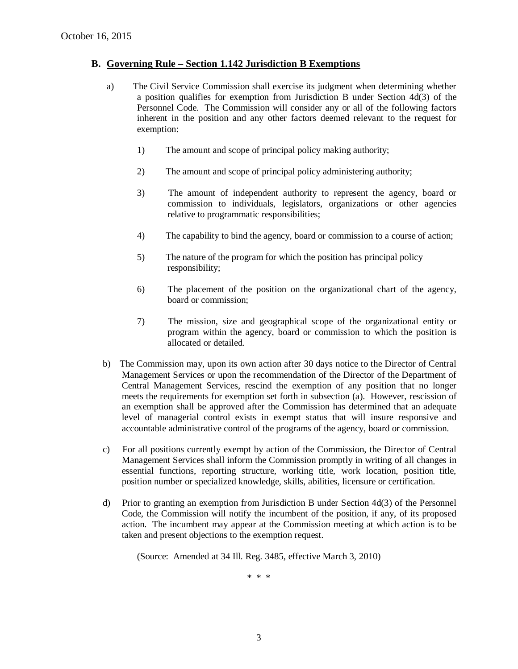#### **B. Governing Rule – Section 1.142 Jurisdiction B Exemptions**

- a) The Civil Service Commission shall exercise its judgment when determining whether a position qualifies for exemption from Jurisdiction B under Section 4d(3) of the Personnel Code. The Commission will consider any or all of the following factors inherent in the position and any other factors deemed relevant to the request for exemption:
	- 1) The amount and scope of principal policy making authority;
	- 2) The amount and scope of principal policy administering authority;
	- 3) The amount of independent authority to represent the agency, board or commission to individuals, legislators, organizations or other agencies relative to programmatic responsibilities;
	- 4) The capability to bind the agency, board or commission to a course of action;
	- 5) The nature of the program for which the position has principal policy responsibility;
	- 6) The placement of the position on the organizational chart of the agency, board or commission;
	- 7) The mission, size and geographical scope of the organizational entity or program within the agency, board or commission to which the position is allocated or detailed.
- b) The Commission may, upon its own action after 30 days notice to the Director of Central Management Services or upon the recommendation of the Director of the Department of Central Management Services, rescind the exemption of any position that no longer meets the requirements for exemption set forth in subsection (a). However, rescission of an exemption shall be approved after the Commission has determined that an adequate level of managerial control exists in exempt status that will insure responsive and accountable administrative control of the programs of the agency, board or commission.
- c) For all positions currently exempt by action of the Commission, the Director of Central Management Services shall inform the Commission promptly in writing of all changes in essential functions, reporting structure, working title, work location, position title, position number or specialized knowledge, skills, abilities, licensure or certification.
- d) Prior to granting an exemption from Jurisdiction B under Section 4d(3) of the Personnel Code, the Commission will notify the incumbent of the position, if any, of its proposed action. The incumbent may appear at the Commission meeting at which action is to be taken and present objections to the exemption request.

(Source: Amended at 34 Ill. Reg. 3485, effective March 3, 2010)

\* \* \*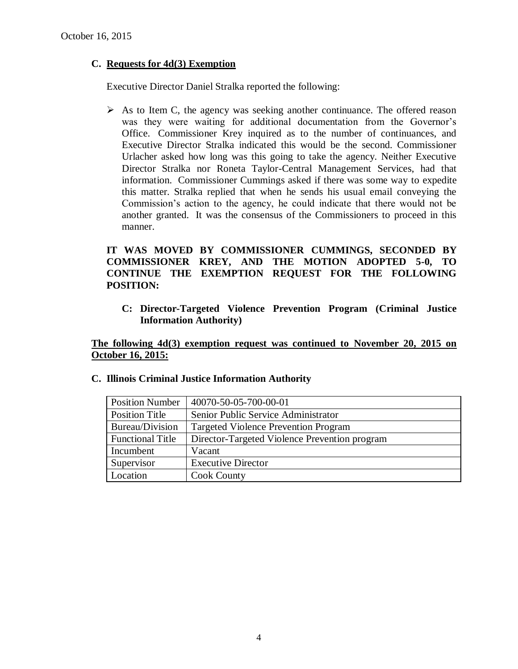# **C. Requests for 4d(3) Exemption**

Executive Director Daniel Stralka reported the following:

 $\triangleright$  As to Item C, the agency was seeking another continuance. The offered reason was they were waiting for additional documentation from the Governor's Office. Commissioner Krey inquired as to the number of continuances, and Executive Director Stralka indicated this would be the second. Commissioner Urlacher asked how long was this going to take the agency. Neither Executive Director Stralka nor Roneta Taylor-Central Management Services, had that information. Commissioner Cummings asked if there was some way to expedite this matter. Stralka replied that when he sends his usual email conveying the Commission's action to the agency, he could indicate that there would not be another granted. It was the consensus of the Commissioners to proceed in this manner.

# **IT WAS MOVED BY COMMISSIONER CUMMINGS, SECONDED BY COMMISSIONER KREY, AND THE MOTION ADOPTED 5-0, TO CONTINUE THE EXEMPTION REQUEST FOR THE FOLLOWING POSITION:**

**C: Director-Targeted Violence Prevention Program (Criminal Justice Information Authority)**

**The following 4d(3) exemption request was continued to November 20, 2015 on October 16, 2015:**

| <b>Position Number</b>  | 40070-50-05-700-00-01                         |
|-------------------------|-----------------------------------------------|
| <b>Position Title</b>   | Senior Public Service Administrator           |
| Bureau/Division         | <b>Targeted Violence Prevention Program</b>   |
| <b>Functional Title</b> | Director-Targeted Violence Prevention program |
| Incumbent               | Vacant                                        |
| Supervisor              | <b>Executive Director</b>                     |
| Location                | <b>Cook County</b>                            |

**C. Illinois Criminal Justice Information Authority**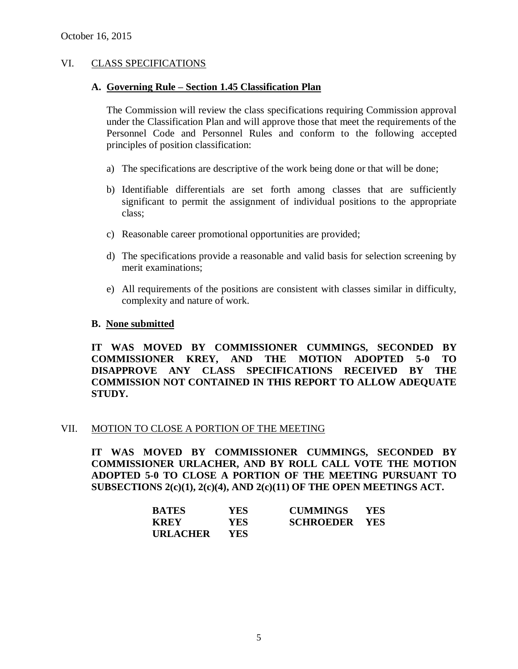### VI. CLASS SPECIFICATIONS

### **A. Governing Rule – Section 1.45 Classification Plan**

The Commission will review the class specifications requiring Commission approval under the Classification Plan and will approve those that meet the requirements of the Personnel Code and Personnel Rules and conform to the following accepted principles of position classification:

- a) The specifications are descriptive of the work being done or that will be done;
- b) Identifiable differentials are set forth among classes that are sufficiently significant to permit the assignment of individual positions to the appropriate class;
- c) Reasonable career promotional opportunities are provided;
- d) The specifications provide a reasonable and valid basis for selection screening by merit examinations;
- e) All requirements of the positions are consistent with classes similar in difficulty, complexity and nature of work.

#### **B. None submitted**

**IT WAS MOVED BY COMMISSIONER CUMMINGS, SECONDED BY COMMISSIONER KREY, AND THE MOTION ADOPTED 5-0 TO DISAPPROVE ANY CLASS SPECIFICATIONS RECEIVED BY THE COMMISSION NOT CONTAINED IN THIS REPORT TO ALLOW ADEQUATE STUDY.** 

#### VII. MOTION TO CLOSE A PORTION OF THE MEETING

**IT WAS MOVED BY COMMISSIONER CUMMINGS, SECONDED BY COMMISSIONER URLACHER, AND BY ROLL CALL VOTE THE MOTION ADOPTED 5-0 TO CLOSE A PORTION OF THE MEETING PURSUANT TO SUBSECTIONS 2(c)(1), 2(c)(4), AND 2(c)(11) OF THE OPEN MEETINGS ACT.**

| <b>BATES</b>    | YES. | <b>CUMMINGS</b>      | <b>YES</b> |
|-----------------|------|----------------------|------------|
| <b>KREY</b>     | YES. | <b>SCHROEDER YES</b> |            |
| <b>URLACHER</b> | YES. |                      |            |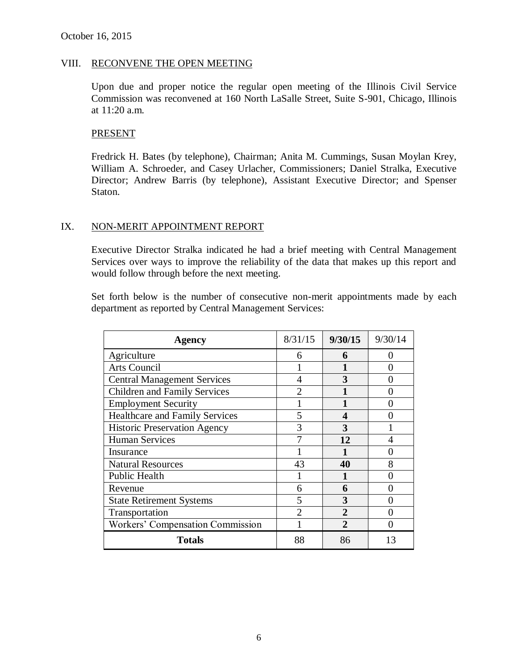#### VIII. RECONVENE THE OPEN MEETING

Upon due and proper notice the regular open meeting of the Illinois Civil Service Commission was reconvened at 160 North LaSalle Street, Suite S-901, Chicago, Illinois at 11:20 a.m.

#### **PRESENT**

Fredrick H. Bates (by telephone), Chairman; Anita M. Cummings, Susan Moylan Krey, William A. Schroeder, and Casey Urlacher, Commissioners; Daniel Stralka, Executive Director; Andrew Barris (by telephone), Assistant Executive Director; and Spenser Staton.

#### IX. NON-MERIT APPOINTMENT REPORT

Executive Director Stralka indicated he had a brief meeting with Central Management Services over ways to improve the reliability of the data that makes up this report and would follow through before the next meeting.

Set forth below is the number of consecutive non-merit appointments made by each department as reported by Central Management Services:

| Agency                                | 8/31/15        | 9/30/15      | 9/30/14 |
|---------------------------------------|----------------|--------------|---------|
| Agriculture                           | 6              | 6            | 0       |
| Arts Council                          |                |              | 0       |
| <b>Central Management Services</b>    | 4              | 3            |         |
| <b>Children and Family Services</b>   | $\mathcal{D}$  |              | 0       |
| <b>Employment Security</b>            |                |              |         |
| <b>Healthcare and Family Services</b> | 5              | 4            |         |
| <b>Historic Preservation Agency</b>   | 3              | 3            |         |
| <b>Human Services</b>                 |                | 12           |         |
| Insurance                             |                |              |         |
| <b>Natural Resources</b>              | 43             | 40           | 8       |
| Public Health                         |                |              |         |
| Revenue                               | 6              | 6            | 0       |
| <b>State Retirement Systems</b>       | 5              | 3            | 0       |
| Transportation                        | $\overline{2}$ | $\mathbf{2}$ | 0       |
| Workers' Compensation Commission      |                | $\mathbf{2}$ | 0       |
| <b>Totals</b>                         | 88             | 86           | 13      |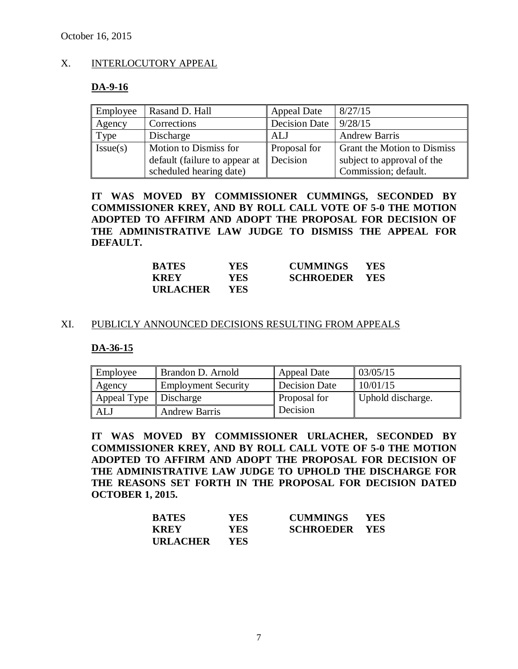# X. INTERLOCUTORY APPEAL

#### **DA-9-16**

| Employee | Rasand D. Hall                | <b>Appeal Date</b> | 8/27/15                            |
|----------|-------------------------------|--------------------|------------------------------------|
| Agency   | Corrections                   | Decision Date      | 9/28/15                            |
| Type     | Discharge                     | ALJ                | <b>Andrew Barris</b>               |
| Issue(s) | Motion to Dismiss for         | Proposal for       | <b>Grant the Motion to Dismiss</b> |
|          | default (failure to appear at | Decision           | subject to approval of the         |
|          | scheduled hearing date)       |                    | Commission; default.               |

**IT WAS MOVED BY COMMISSIONER CUMMINGS, SECONDED BY COMMISSIONER KREY, AND BY ROLL CALL VOTE OF 5-0 THE MOTION ADOPTED TO AFFIRM AND ADOPT THE PROPOSAL FOR DECISION OF THE ADMINISTRATIVE LAW JUDGE TO DISMISS THE APPEAL FOR DEFAULT.**

| <b>BATES</b>    | YES.       | <b>CUMMINGS</b>      | <b>YES</b> |
|-----------------|------------|----------------------|------------|
| <b>KREY</b>     | <b>YES</b> | <b>SCHROEDER YES</b> |            |
| <b>URLACHER</b> | YES.       |                      |            |

#### XI. PUBLICLY ANNOUNCED DECISIONS RESULTING FROM APPEALS

### **DA-36-15**

| Employee                          | Brandon D. Arnold          | <b>Appeal Date</b>  | 03/05/15          |
|-----------------------------------|----------------------------|---------------------|-------------------|
| Agency                            | <b>Employment Security</b> | Decision Date       | 10/01/15          |
| Appeal Type $\parallel$ Discharge |                            | <b>Proposal for</b> | Uphold discharge. |
| ALJ                               | <b>Andrew Barris</b>       | Decision            |                   |

**IT WAS MOVED BY COMMISSIONER URLACHER, SECONDED BY COMMISSIONER KREY, AND BY ROLL CALL VOTE OF 5-0 THE MOTION ADOPTED TO AFFIRM AND ADOPT THE PROPOSAL FOR DECISION OF THE ADMINISTRATIVE LAW JUDGE TO UPHOLD THE DISCHARGE FOR THE REASONS SET FORTH IN THE PROPOSAL FOR DECISION DATED OCTOBER 1, 2015.**

| <b>BATES</b>    | YES        | <b>CUMMINGS</b>      | - YES |
|-----------------|------------|----------------------|-------|
| <b>KREY</b>     | YES.       | <b>SCHROEDER YES</b> |       |
| <b>URLACHER</b> | <b>YES</b> |                      |       |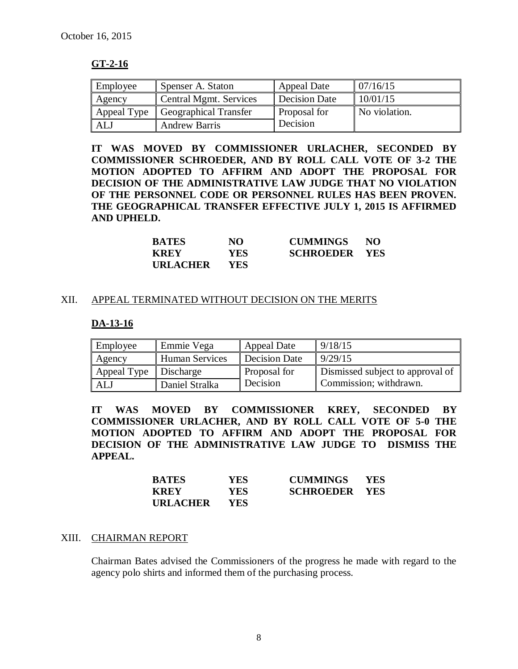# **GT-2-16**

| Employee    | Spenser A. Staton      | Appeal Date     | 07/16/15      |
|-------------|------------------------|-----------------|---------------|
| Agency      | Central Mgmt. Services | Decision Date   | 10/01/15      |
| Appeal Type | Geographical Transfer  | Proposal for    | No violation. |
| ALJ         | <b>Andrew Barris</b>   | <b>Decision</b> |               |

**IT WAS MOVED BY COMMISSIONER URLACHER, SECONDED BY COMMISSIONER SCHROEDER, AND BY ROLL CALL VOTE OF 3-2 THE MOTION ADOPTED TO AFFIRM AND ADOPT THE PROPOSAL FOR DECISION OF THE ADMINISTRATIVE LAW JUDGE THAT NO VIOLATION OF THE PERSONNEL CODE OR PERSONNEL RULES HAS BEEN PROVEN. THE GEOGRAPHICAL TRANSFER EFFECTIVE JULY 1, 2015 IS AFFIRMED AND UPHELD.**

| <b>BATES</b>    | NO   | <b>CUMMINGS</b>      | NO. |
|-----------------|------|----------------------|-----|
| <b>KREY</b>     | YES. | <b>SCHROEDER YES</b> |     |
| <b>URLACHER</b> | YES. |                      |     |

# XII. APPEAL TERMINATED WITHOUT DECISION ON THE MERITS

### **DA-13-16**

| Employee                          | ⊩Emmie Vega    | <b>Appeal Date</b>   | 9/18/15                          |
|-----------------------------------|----------------|----------------------|----------------------------------|
| Agency                            | Human Services | <b>Decision Date</b> | 9/29/15                          |
| Appeal Type $\parallel$ Discharge |                | Proposal for         | Dismissed subject to approval of |
| ALJ                               | Daniel Stralka | Decision             | Commission; withdrawn.           |

**IT WAS MOVED BY COMMISSIONER KREY, SECONDED BY COMMISSIONER URLACHER, AND BY ROLL CALL VOTE OF 5-0 THE MOTION ADOPTED TO AFFIRM AND ADOPT THE PROPOSAL FOR DECISION OF THE ADMINISTRATIVE LAW JUDGE TO DISMISS THE APPEAL.** 

| <b>BATES</b>    | YES. | <b>CUMMINGS</b>      | <b>YES</b> |
|-----------------|------|----------------------|------------|
| <b>KREY</b>     | YES. | <b>SCHROEDER YES</b> |            |
| <b>URLACHER</b> | YES. |                      |            |

### XIII. CHAIRMAN REPORT

Chairman Bates advised the Commissioners of the progress he made with regard to the agency polo shirts and informed them of the purchasing process.